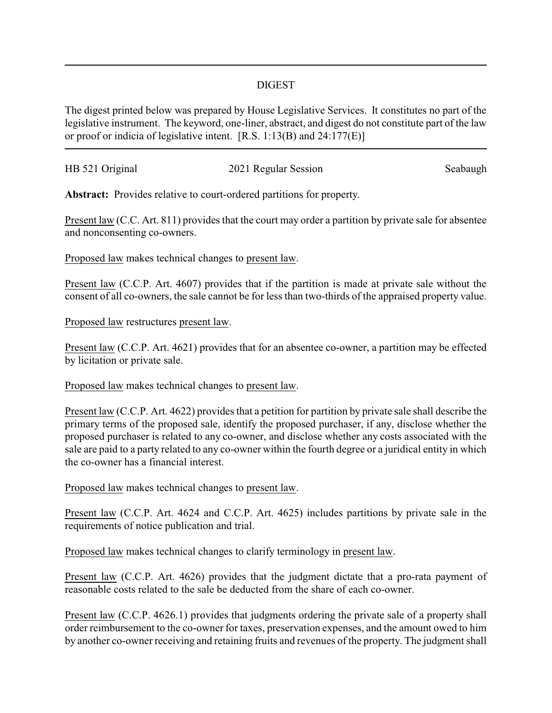## DIGEST

The digest printed below was prepared by House Legislative Services. It constitutes no part of the legislative instrument. The keyword, one-liner, abstract, and digest do not constitute part of the law or proof or indicia of legislative intent. [R.S. 1:13(B) and 24:177(E)]

| HB 521 Original | 2021 Regular Session | Seabaugh |
|-----------------|----------------------|----------|

**Abstract:** Provides relative to court-ordered partitions for property.

Present law (C.C. Art. 811) provides that the court may order a partition by private sale for absentee and nonconsenting co-owners.

Proposed law makes technical changes to present law.

Present law (C.C.P. Art. 4607) provides that if the partition is made at private sale without the consent of all co-owners, the sale cannot be for less than two-thirds of the appraised property value.

Proposed law restructures present law.

Present law (C.C.P. Art. 4621) provides that for an absentee co-owner, a partition may be effected by licitation or private sale.

Proposed law makes technical changes to present law.

Present law (C.C.P. Art. 4622) provides that a petition for partition by private sale shall describe the primary terms of the proposed sale, identify the proposed purchaser, if any, disclose whether the proposed purchaser is related to any co-owner, and disclose whether any costs associated with the sale are paid to a party related to any co-owner within the fourth degree or a juridical entity in which the co-owner has a financial interest.

Proposed law makes technical changes to present law.

Present law (C.C.P. Art. 4624 and C.C.P. Art. 4625) includes partitions by private sale in the requirements of notice publication and trial.

Proposed law makes technical changes to clarify terminology in present law.

Present law (C.C.P. Art. 4626) provides that the judgment dictate that a pro-rata payment of reasonable costs related to the sale be deducted from the share of each co-owner.

Present law (C.C.P. 4626.1) provides that judgments ordering the private sale of a property shall order reimbursement to the co-owner for taxes, preservation expenses, and the amount owed to him by another co-owner receiving and retaining fruits and revenues of the property. The judgment shall